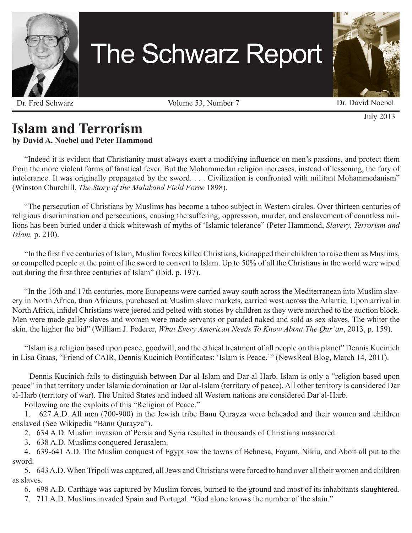

# The Schwarz Report

Dr. Fred Schwarz Volume 53, Number 7 Dr. David Noebel

July 2013

# **Islam and Terrorism**

#### **by David A. Noebel and Peter Hammond**

"Indeed it is evident that Christianity must always exert a modifying influence on men's passions, and protect them from the more violent forms of fanatical fever. But the Mohammedan religion increases, instead of lessening, the fury of intolerance. It was originally propagated by the sword. . . . Civilization is confronted with militant Mohammedanism" (Winston Churchill, *The Story of the Malakand Field Force* 1898).

"The persecution of Christians by Muslims has become a taboo subject in Western circles. Over thirteen centuries of religious discrimination and persecutions, causing the suffering, oppression, murder, and enslavement of countless millions has been buried under a thick whitewash of myths of 'Islamic tolerance" (Peter Hammond, *Slavery, Terrorism and Islam.* p. 210).

"In the first five centuries of Islam, Muslim forces killed Christians, kidnapped their children to raise them as Muslims, or compelled people at the point of the sword to convert to Islam. Up to 50% of all the Christians in the world were wiped out during the first three centuries of Islam" (Ibid. p. 197).

"In the 16th and 17th centuries, more Europeans were carried away south across the Mediterranean into Muslim slavery in North Africa, than Africans, purchased at Muslim slave markets, carried west across the Atlantic. Upon arrival in North Africa, infidel Christians were jeered and pelted with stones by children as they were marched to the auction block. Men were made galley slaves and women were made servants or paraded naked and sold as sex slaves. The whiter the skin, the higher the bid" (William J. Federer, *What Every American Needs To Know About The Qur'an*, 2013, p. 159).

"Islam is a religion based upon peace, goodwill, and the ethical treatment of all people on this planet" Dennis Kucinich in Lisa Graas, "Friend of CAIR, Dennis Kucinich Pontificates: 'Islam is Peace.'" (NewsReal Blog, March 14, 2011).

 Dennis Kucinich fails to distinguish between Dar al-Islam and Dar al-Harb. Islam is only a "religion based upon peace" in that territory under Islamic domination or Dar al-Islam (territory of peace). All other territory is considered Dar al-Harb (territory of war). The United States and indeed all Western nations are considered Dar al-Harb.

Following are the exploits of this "Religion of Peace."

1. 627 A.D. All men (700-900) in the Jewish tribe Banu Qurayza were beheaded and their women and children enslaved (See Wikipedia "Banu Qurayza").

2. 634 A.D. Muslim invasion of Persia and Syria resulted in thousands of Christians massacred.

3. 638 A.D. Muslims conquered Jerusalem.

4. 639-641 A.D. The Muslim conquest of Egypt saw the towns of Behnesa, Fayum, Nikiu, and Aboit all put to the sword.

5. 643 A.D. When Tripoli was captured, all Jews and Christians were forced to hand over all their women and children as slaves.

6. 698 A.D. Carthage was captured by Muslim forces, burned to the ground and most of its inhabitants slaughtered.

7. 711 A.D. Muslims invaded Spain and Portugal. "God alone knows the number of the slain."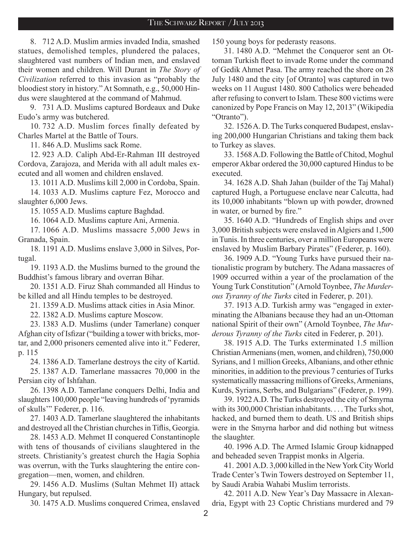8. 712 A.D. Muslim armies invaded India, smashed statues, demolished temples, plundered the palaces, slaughtered vast numbers of Indian men, and enslaved their women and children. Will Durant in *The Story of Civilization* referred to this invasion as "probably the bloodiest story in history." At Somnath, e.g., 50,000 Hindus were slaughtered at the command of Mahmud.

9. 731 A.D. Muslims captured Bordeaux and Duke Eudo's army was butchered.

10. 732 A.D. Muslim forces finally defeated by Charles Martel at the Battle of Tours.

11. 846 A.D. Muslims sack Rome.

12. 923 A.D. Caliph Abd-Er-Rahman III destroyed Cordova, Zarajoza, and Merida with all adult males executed and all women and children enslaved.

13. 1011 A.D. Muslims kill 2,000 in Cordoba, Spain.

14. 1033 A.D. Muslims capture Fez, Morocco and slaughter 6,000 Jews.

15. 1055 A.D. Muslims capture Baghdad.

16. 1064 A.D. Muslims capture Ani, Armenia.

17. 1066 A.D. Muslims massacre 5,000 Jews in Granada, Spain.

18. 1191 A.D. Muslims enslave 3,000 in Silves, Portugal.

19. 1193 A.D. the Muslims burned to the ground the Buddhist's famous library and overran Bihar.

20. 1351 A.D. Firuz Shah commanded all Hindus to be killed and all Hindu temples to be destroyed.

21. 1359 A.D. Muslims attack cities in Asia Minor.

22. 1382 A.D. Muslims capture Moscow.

23. 1383 A.D. Muslims (under Tamerlane) conquer Afghan city of Isfizar ("building a tower with bricks, mortar, and 2,000 prisoners cemented alive into it." Federer, p. 115

24. 1386 A.D. Tamerlane destroys the city of Kartid.

25. 1387 A.D. Tamerlane massacres 70,000 in the Persian city of Ishfahan.

26. 1398 A.D. Tamerlane conquers Delhi, India and slaughters 100,000 people "leaving hundreds of 'pyramids of skulls'" Federer, p. 116.

27. 1403 A.D. Tamerlane slaughtered the inhabitants and destroyed all the Christian churches in Tiflis, Georgia.

28. 1453 A.D. Mehmet II conquered Constantinople with tens of thousands of civilians slaughtered in the streets. Christianity's greatest church the Hagia Sophia was overrun, with the Turks slaughtering the entire congregation—men, women, and children.

29. 1456 A.D. Muslims (Sultan Mehmet II) attack Hungary, but repulsed.

30. 1475 A.D. Muslims conquered Crimea, enslaved

150 young boys for pederasty reasons.

31. 1480 A.D. "Mehmet the Conqueror sent an Ottoman Turkish fleet to invade Rome under the command of Gedik Ahmet Pasa. The army reached the shore on 28 July 1480 and the city [of Otranto] was captured in two weeks on 11 August 1480. 800 Catholics were beheaded after refusing to convert to Islam. These 800 victims were canonized by Pope Francis on May 12, 2013" (Wikipedia "Otranto").

32. 1526 A. D. The Turks conquered Budapest, enslaving 200,000 Hungarian Christians and taking them back to Turkey as slaves.

33. 1568 A.D. Following the Battle of Chitod, Moghul emperor Akbar ordered the 30,000 captured Hindus to be executed.

34. 1628 A.D. Shah Jahan (builder of the Taj Mahal) captured Hugh, a Portuguese enclave near Calcutta, had its 10,000 inhabitants "blown up with powder, drowned in water, or burned by fire."

35. 1640 A.D. "Hundreds of English ships and over 3,000 British subjects were enslaved in Algiers and 1,500 in Tunis. In three centuries, over a million Europeans were enslaved by Muslim Barbary Pirates" (Federer, p. 160).

36. 1909 A.D. "Young Turks have pursued their nationalistic program by butchery. The Adana massacres of 1909 occurred within a year of the proclamation of the Young Turk Constitution" (Arnold Toynbee, *The Murderous Tyranny of the Turks* cited in Federer, p. 201).

37. 1913 A.D. Turkish army was "engaged in exterminating the Albanians because they had an un-Ottoman national Spirit of their own" (Arnold Toynbee, *The Murderous Tyranny of the Turks* cited in Federer, p. 201).

38. 1915 A.D. The Turks exterminated 1.5 million Christian Armenians (men, women, and children), 750,000 Syrians, and 1 million Greeks, Albanians, and other ethnic minorities, in addition to the previous 7 centuries of Turks systematically massacring millions of Greeks, Armenians, Kurds, Syrians, Serbs, and Bulgarians" (Federer, p. 199).

39. 1922 A.D. The Turks destroyed the city of Smyrna with its 300,000 Christian inhabitants. . . . The Turks shot, hacked, and burned them to death. US and British ships were in the Smyrna harbor and did nothing but witness the slaughter.

40. 1996 A.D. The Armed Islamic Group kidnapped and beheaded seven Trappist monks in Algeria.

41. 2001 A.D. 3,000 killed in the New York City World Trade Center's Twin Towers destroyed on September 11, by Saudi Arabia Wahabi Muslim terrorists.

42. 2011 A.D. New Year's Day Massacre in Alexandria, Egypt with 23 Coptic Christians murdered and 79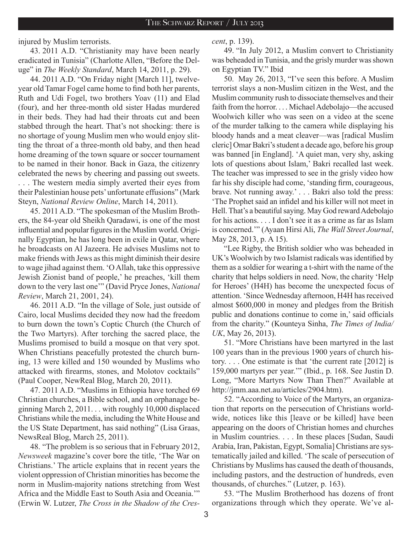injured by Muslim terrorists.

43. 2011 A.D. "Christianity may have been nearly eradicated in Tunisia" (Charlotte Allen, "Before the Deluge" in *The Weekly Standard*, March 14, 2011, p. 29).

44. 2011 A.D. "On Friday night [March 11], twelveyear old Tamar Fogel came home to find both her parents, Ruth and Udi Fogel, two brothers Yoav (11) and Elad (four), and her three-month old sister Hadas murdered in their beds. They had had their throats cut and been stabbed through the heart. That's not shocking: there is no shortage of young Muslim men who would enjoy slitting the throat of a three-month old baby, and then head home dreaming of the town square or soccer tournament to be named in their honor. Back in Gaza, the citizenry celebrated the news by cheering and passing out sweets. . . . The western media simply averted their eyes from their Palestinian house pets' unfortunate effusions" (Mark Steyn, *National Review Online*, March 14, 2011).

45. 2011 A.D. "The spokesman of the Muslim Brothers, the 84-year old Sheikh Qaradawi, is one of the most influential and popular figures in the Muslim world. Originally Egyptian, he has long been in exile in Qatar, where he broadcasts on Al Jazeera. He advises Muslims not to make friends with Jews as this might diminish their desire to wage jihad against them. 'O Allah, take this oppressive Jewish Zionist band of people,' he preaches, 'kill them down to the very last one'" (David Pryce Jones, *National Review*, March 21, 2001, 24).

46. 2011 A.D. "In the village of Sole, just outside of Cairo, local Muslims decided they now had the freedom to burn down the town's Coptic Church (the Church of the Two Martyrs). After torching the sacred place, the Muslims promised to build a mosque on that very spot. When Christians peacefully protested the church burning, 13 were killed and 150 wounded by Muslims who attacked with firearms, stones, and Molotov cocktails" (Paul Cooper, NewReal Blog, March 20, 2011).

47. 2011 A.D. "Muslims in Ethiopia have torched 69 Christian churches, a Bible school, and an orphanage beginning March 2, 2011. . . with roughly 10,000 displaced Christians while the media, including the White House and the US State Department, has said nothing" (Lisa Graas, NewsReal Blog, March 25, 2011).

48. "The problem is so serious that in February 2012, *Newsweek* magazine's cover bore the title, 'The War on Christians.' The article explains that in recent years the violent oppression of Christian minorities has become the norm in Muslim-majority nations stretching from West Africa and the Middle East to South Asia and Oceania.'" (Erwin W. Lutzer, *The Cross in the Shadow of the Cres-* *cent*, p. 139).

49. "In July 2012, a Muslim convert to Christianity was beheaded in Tunisia, and the grisly murder was shown on Egyptian TV." Ibid

50. May 26, 2013, "I've seen this before. A Muslim terrorist slays a non-Muslim citizen in the West, and the Muslim community rush to dissociate themselves and their faith from the horror. . . . Michael Adebolajo—the accused Woolwich killer who was seen on a video at the scene of the murder talking to the camera while displaying his bloody hands and a meat cleaver—was [radical Muslim cleric] Omar Bakri's student a decade ago, before his group was banned [in England]. 'A quiet man, very shy, asking lots of questions about Islam,' Bakri recalled last week. The teacher was impressed to see in the grisly video how far his shy disciple had come, 'standing firm, courageous, brave. Not running away.' . . . Bakri also told the press: 'The Prophet said an infidel and his killer will not meet in Hell. That's a beautiful saying. May God reward Adebolajo for his actions. . . . I don't see it as a crime as far as Islam is concerned.'" (Ayaan Hirsi Ali, *The Wall Street Journal*, May 28, 2013, p. A 15).

"Lee Rigby, the British soldier who was beheaded in UK's Woolwich by two Islamist radicals was identified by them as a soldier for wearing a t-shirt with the name of the charity that helps soldiers in need. Now, the charity 'Help for Heroes' (H4H) has become the unexpected focus of attention. 'Since Wednesday afternoon, H4H has received almost \$600,000 in money and pledges from the British public and donations continue to come in,' said officials from the charity." (Kounteya Sinha, *The Times of India/ UK*, May 26, 2013).

51. "More Christians have been martyred in the last 100 years than in the previous 1900 years of church history. . . . One estimate is that 'the current rate [2012] is 159,000 martyrs per year.'" (Ibid., p. 168. See Justin D. Long, "More Martyrs Now Than Then?" Available at http://jmm.aaa.net.au/articles/2904.htm).

52. "According to Voice of the Martyrs, an organization that reports on the persecution of Christians worldwide, notices like this [leave or be killed] have been appearing on the doors of Christian homes and churches in Muslim countries. . . . In these places [Sudan, Saudi Arabia, Iran, Pakistan, Egypt, Somalia] Christians are systematically jailed and killed. 'The scale of persecution of Christians by Muslims has caused the death of thousands, including pastors, and the destruction of hundreds, even thousands, of churches." (Lutzer, p. 163).

53. "The Muslim Brotherhood has dozens of front organizations through which they operate. We've al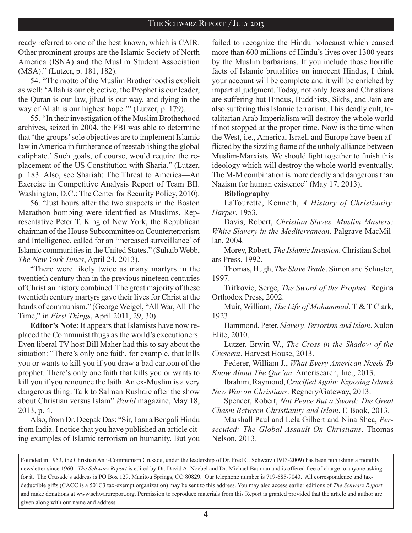ready referred to one of the best known, which is CAIR. Other prominent groups are the Islamic Society of North America (ISNA) and the Muslim Student Association (MSA)." (Lutzer, p. 181, 182).

54. "The motto of the Muslim Brotherhood is explicit as well: 'Allah is our objective, the Prophet is our leader, the Quran is our law, jihad is our way, and dying in the way of Allah is our highest hope.'" (Lutzer, p. 179).

55. "In their investigation of the Muslim Brotherhood archives, seized in 2004, the FBI was able to determine that 'the groups' sole objectives are to implement Islamic law in America in furtherance of reestablishing the global caliphate.' Such goals, of course, would require the replacement of the US Constitution with Sharia." (Lutzer, p. 183. Also, see Shariah: The Threat to America—An Exercise in Competitive Analysis Report of Team BII. Washington, D.C.: The Center for Security Policy, 2010).

56. "Just hours after the two suspects in the Boston Marathon bombing were identified as Muslims, Representative Peter T. King of New York, the Republican chairman of the House Subcommittee on Counterterrorism and Intelligence, called for an 'increased surveillance' of Islamic communities in the United States." (Suhaib Webb, *The New York Times*, April 24, 2013).

"There were likely twice as many martyrs in the twentieth century than in the previous nineteen centuries of Christian history combined. The great majority of these twentieth century martyrs gave their lives for Christ at the hands of communism." (George Weigel, "All War, All The Time," in *First Things*, April 2011, 29, 30).

**Editor's Note**: It appears that Islamists have now replaced the Communist thugs as the world's executioners. Even liberal TV host Bill Maher had this to say about the situation: "There's only one faith, for example, that kills you or wants to kill you if you draw a bad cartoon of the prophet. There's only one faith that kills you or wants to kill you if you renounce the faith. An ex-Muslim is a very dangerous thing. Talk to Salman Rushdie after the show about Christian versus Islam" *World* magazine, May 18, 2013, p. 4.

Also, from Dr. Deepak Das: "Sir, I am a Bengali Hindu from India. I notice that you have published an article citing examples of Islamic terrorism on humanity. But you failed to recognize the Hindu holocaust which caused more than 600 millions of Hindu's lives over 1300 years by the Muslim barbarians. If you include those horrific facts of Islamic brutalities on innocent Hindus, I think your account will be complete and it will be enriched by impartial judgment. Today, not only Jews and Christians are suffering but Hindus, Buddhists, Sikhs, and Jain are also suffering this Islamic terrorism. This deadly cult, totalitarian Arab Imperialism will destroy the whole world if not stopped at the proper time. Now is the time when the West, i.e., America, Israel, and Europe have been afflicted by the sizzling flame of the unholy alliance between Muslim-Marxists. We should fight together to finish this ideology which will destroy the whole world eventually. The M-M combination is more deadly and dangerous than Nazism for human existence" (May 17, 2013).

#### **Bibliography**

LaTourette, Kenneth, *A History of Christianity. Harper*, 1953.

Davis, Robert, *Christian Slaves, Muslim Masters: White Slavery in the Mediterranean*. Palgrave MacMillan, 2004.

Morey, Robert, *The Islamic Invasion*. Christian Scholars Press, 1992.

Thomas, Hugh, *The Slave Trade*. Simon and Schuster, 1997.

Trifkovic, Serge, *The Sword of the Prophet*. Regina Orthodox Press, 2002.

Muir, William, *The Life of Mohammad*. T & T Clark, 1923.

Hammond, Peter, *Slavery, Terrorism and Islam*. Xulon Elite, 2010.

Lutzer, Erwin W., *The Cross in the Shadow of the Crescent*. Harvest House, 2013.

Federer, William J., *What Every American Needs To Know About The Qur'an*. Amerisearch, Inc., 2013.

Ibrahim, Raymond, C*rucified Again: Exposing Islam's New War on Christians*. Regnery/Gateway, 2013.

Spencer, Robert, *Not Peace But a Sword: The Great Chasm Between Christianity and Islam*. E-Book, 2013.

Marshall Paul and Lela Gilbert and Nina Shea, *Persecuted: The Global Assault On Christians*. Thomas Nelson, 2013.

Founded in 1953, the Christian Anti-Communism Crusade, under the leadership of Dr. Fred C. Schwarz (1913-2009) has been publishing a monthly newsletter since 1960. *The Schwarz Report* is edited by Dr. David A. Noebel and Dr. Michael Bauman and is offered free of charge to anyone asking for it. The Crusade's address is PO Box 129, Manitou Springs, CO 80829. Our telephone number is 719-685-9043. All correspondence and taxdeductible gifts (CACC is a 501C3 tax-exempt organization) may be sent to this address. You may also access earlier editions of *The Schwarz Report*  and make donations at www.schwarzreport.org. Permission to reproduce materials from this Report is granted provided that the article and author are given along with our name and address.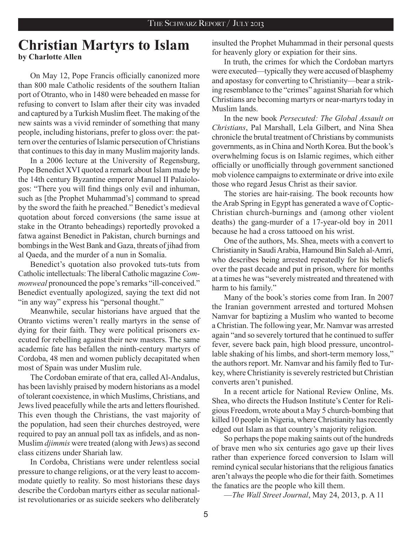## **Christian Martyrs to Islam by Charlotte Allen**

On May 12, Pope Francis officially canonized more than 800 male Catholic residents of the southern Italian port of Otranto, who in 1480 were beheaded en masse for refusing to convert to Islam after their city was invaded and captured by a Turkish Muslim fleet. The making of the new saints was a vivid reminder of something that many people, including historians, prefer to gloss over: the pattern over the centuries of Islamic persecution of Christians that continues to this day in many Muslim majority lands.

In a 2006 lecture at the University of Regensburg, Pope Benedict XVI quoted a remark about Islam made by the 14th century Byzantine emperor Manuel II Palaiologos: "There you will find things only evil and inhuman, such as [the Prophet Muhammad's] command to spread by the sword the faith he preached." Benedict's medieval quotation about forced conversions (the same issue at stake in the Otranto beheadings) reportedly provoked a fatwa against Benedict in Pakistan, church burnings and bombings in the West Bank and Gaza, threats of jihad from al Qaeda, and the murder of a nun in Somalia.

Benedict's quotation also provoked tuts-tuts from Catholic intellectuals: The liberal Catholic magazine *Commonweal* pronounced the pope's remarks "ill-conceived." Benedict eventually apologized, saying the text did not "in any way" express his "personal thought."

Meanwhile, secular historians have argued that the Otranto victims weren't really martyrs in the sense of dying for their faith. They were political prisoners executed for rebelling against their new masters. The same academic fate has befallen the ninth-century martyrs of Cordoba, 48 men and women publicly decapitated when most of Spain was under Muslim rule.

The Cordoban emirate of that era, called Al-Andalus, has been lavishly praised by modern historians as a model of tolerant coexistence, in which Muslims, Christians, and Jews lived peacefully while the arts and letters flourished. This even though the Christians, the vast majority of the population, had seen their churches destroyed, were required to pay an annual poll tax as infidels, and as non-Muslim *djimmis* were treated (along with Jews) as second class citizens under Shariah law.

In Cordoba, Christians were under relentless social pressure to change religions, or at the very least to accommodate quietly to reality. So most historians these days describe the Cordoban martyrs either as secular nationalist revolutionaries or as suicide seekers who deliberately insulted the Prophet Muhammad in their personal quests for heavenly glory or expiation for their sins.

In truth, the crimes for which the Cordoban martyrs were executed—typically they were accused of blasphemy and apostasy for converting to Christianity—bear a striking resemblance to the "crimes" against Shariah for which Christians are becoming martyrs or near-martyrs today in Muslim lands.

In the new book *Persecuted: The Global Assault on Christians*, Pal Marshall, Lela Gilbert, and Nina Shea chronicle the brutal treatment of Christians by communists governments, as in China and North Korea. But the book's overwhelming focus is on Islamic regimes, which either officially or unofficially through government sanctioned mob violence campaigns to exterminate or drive into exile those who regard Jesus Christ as their savior.

The stories are hair-raising. The book recounts how the Arab Spring in Egypt has generated a wave of Coptic-Christian church-burnings and (among other violent deaths) the gang-murder of a 17-year-old boy in 2011 because he had a cross tattooed on his wrist.

One of the authors, Ms. Shea, meets with a convert to Christianity in Saudi Arabia, Hamound Bin Saleh al-Amri, who describes being arrested repeatedly for his beliefs over the past decade and put in prison, where for months at a times he was "severely mistreated and threatened with harm to his family."

Many of the book's stories come from Iran. In 2007 the Iranian government arrested and tortured Mohsen Namvar for baptizing a Muslim who wanted to become a Christian. The following year, Mr. Namvar was arrested again "and so severely tortured that he continued to suffer fever, severe back pain, high blood pressure, uncontrollable shaking of his limbs, and short-term memory loss," the authors report. Mr. Namvar and his family fled to Turkey, where Christianity is severely restricted but Christian converts aren't punished.

In a recent article for National Review Online, Ms. Shea, who directs the Hudson Institute's Center for Religious Freedom, wrote about a May 5 church-bombing that killed 10 people in Nigeria, where Christianity has recently edged out Islam as that country's majority religion.

So perhaps the pope making saints out of the hundreds of brave men who six centuries ago gave up their lives rather than experience forced conversion to Islam will remind cynical secular historians that the religious fanatics aren't always the people who die for their faith. Sometimes the fanatics are the people who kill them.

—*The Wall Street Journal*, May 24, 2013, p. A 11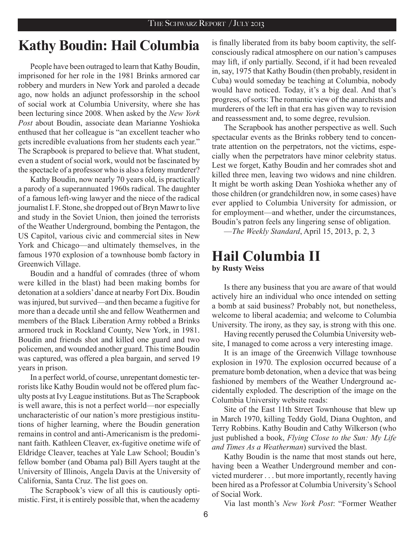## **Kathy Boudin: Hail Columbia**

People have been outraged to learn that Kathy Boudin, imprisoned for her role in the 1981 Brinks armored car robbery and murders in New York and paroled a decade ago, now holds an adjunct professorship in the school of social work at Columbia University, where she has been lecturing since 2008. When asked by the *New York Post* about Boudin, associate dean Marianne Yoshioka enthused that her colleague is "an excellent teacher who gets incredible evaluations from her students each year." The Scrapbook is prepared to believe that. What student, even a student of social work, would not be fascinated by the spectacle of a professor who is also a felony murderer?

Kathy Boudin, now nearly 70 years old, is practically a parody of a superannuated 1960s radical. The daughter of a famous left-wing lawyer and the niece of the radical journalist I.F. Stone, she dropped out of Bryn Mawr to live and study in the Soviet Union, then joined the terrorists of the Weather Underground, bombing the Pentagon, the US Capitol, various civic and commercial sites in New York and Chicago—and ultimately themselves, in the famous 1970 explosion of a townhouse bomb factory in Greenwich Village.

Boudin and a handful of comrades (three of whom were killed in the blast) had been making bombs for detonation at a soldiers' dance at nearby Fort Dix. Boudin was injured, but survived—and then became a fugitive for more than a decade until she and fellow Weathermen and members of the Black Liberation Army robbed a Brinks armored truck in Rockland County, New York, in 1981. Boudin and friends shot and killed one guard and two policemen, and wounded another guard. This time Boudin was captured, was offered a plea bargain, and served 19 years in prison.

In a perfect world, of course, unrepentant domestic terrorists like Kathy Boudin would not be offered plum faculty posts at Ivy League institutions. But as The Scrapbook is well aware, this is not a perfect world—nor especially uncharacteristic of our nation's more prestigious institutions of higher learning, where the Boudin generation remains in control and anti-Americanism is the predominant faith. Kathleen Cleaver, ex-fugitive onetime wife of Eldridge Cleaver, teaches at Yale Law School; Boudin's fellow bomber (and Obama pal) Bill Ayers taught at the University of Illinois, Angela Davis at the University of California, Santa Cruz. The list goes on.

The Scrapbook's view of all this is cautiously optimistic. First, it is entirely possible that, when the academy is finally liberated from its baby boom captivity, the selfconsciously radical atmosphere on our nation's campuses may lift, if only partially. Second, if it had been revealed in, say, 1975 that Kathy Boudin (then probably, resident in Cuba) would someday be teaching at Columbia, nobody would have noticed. Today, it's a big deal. And that's progress, of sorts: The romantic view of the anarchists and murderers of the left in that era has given way to revision and reassessment and, to some degree, revulsion.

The Scrapbook has another perspective as well. Such spectacular events as the Brinks robbery tend to concentrate attention on the perpetrators, not the victims, especially when the perpetrators have minor celebrity status. Lest we forget, Kathy Boudin and her comrades shot and killed three men, leaving two widows and nine children. It might be worth asking Dean Yoshioka whether any of those children (or grandchildren now, in some cases) have ever applied to Columbia University for admission, or for employment—and whether, under the circumstances, Boudin's patron feels any lingering sense of obligation.

—*The Weekly Standard*, April 15, 2013, p. 2, 3

### **Hail Columbia II by Rusty Weiss**

Is there any business that you are aware of that would actively hire an individual who once intended on setting a bomb at said business? Probably not, but nonetheless, welcome to liberal academia; and welcome to Columbia University. The irony, as they say, is strong with this one.

Having recently perused the Columbia University website, I managed to come across a very interesting image.

It is an image of the Greenwich Village townhouse explosion in 1970. The explosion occurred because of a premature bomb detonation, when a device that was being fashioned by members of the Weather Underground accidentally exploded. The description of the image on the Columbia University website reads:

Site of the East 11th Street Townhouse that blew up in March 1970, killing Teddy Gold, Diana Oughton, and Terry Robbins. Kathy Boudin and Cathy Wilkerson (who just published a book, *Flying Close to the Sun: My Life and Times As a Weatherman*) survived the blast.

Kathy Boudin is the name that most stands out here, having been a Weather Underground member and convicted murderer . . . but more importantly, recently having been hired as a Professor at Columbia University's School of Social Work.

Via last month's *New York Post*: "Former Weather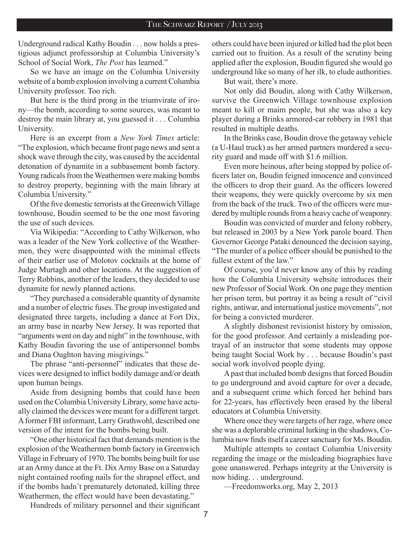Underground radical Kathy Boudin . . . now holds a prestigious adjunct professorship at Columbia University's School of Social Work, *The Post* has learned."

So we have an image on the Columbia University website of a bomb explosion involving a current Columbia University professor. Too rich.

But here is the third prong in the triumvirate of irony—the bomb, according to some sources, was meant to destroy the main library at, you guessed it . . . Columbia University.

Here is an excerpt from a *New York Times* article: "The explosion, which became front page news and sent a shock wave through the city, was caused by the accidental detonation of dynamite in a subbasement bomb factory. Young radicals from the Weathermen were making bombs to destroy property, beginning with the main library at Columbia University."

Of the five domestic terrorists at the Greenwich Village townhouse, Boudin seemed to be the one most favoring the use of such devices.

Via Wikipedia: "According to Cathy Wilkerson, who was a leader of the New York collective of the Weathermen, they were disappointed with the minimal effects of their earlier use of Molotov cocktails at the home of Judge Murtagh and other locations. At the suggestion of Terry Robbins, another of the leaders, they decided to use dynamite for newly planned actions.

"They purchased a considerable quantity of dynamite and a number of electric fuses. The group investigated and designated three targets, including a dance at Fort Dix, an army base in nearby New Jersey. It was reported that "arguments went on day and night" in the townhouse, with Kathy Boudin favoring the use of antipersonnel bombs and Diana Oughton having misgivings."

The phrase "anti-personnel" indicates that these devices were designed to inflict bodily damage and/or death upon human beings.

Aside from designing bombs that could have been used on the Columbia University Library, some have actually claimed the devices were meant for a different target. A former FBI informant, Larry Grathwohl, described one version of the intent for the bombs being built.

"One other historical fact that demands mention is the explosion of the Weathermen bomb factory in Greenwich Village in February of 1970. The bombs being built for use at an Army dance at the Ft. Dix Army Base on a Saturday night contained roofing nails for the shrapnel effect, and if the bombs hadn't prematurely detonated, killing three Weathermen, the effect would have been devastating."

others could have been injured or killed had the plot been carried out to fruition. As a result of the scrutiny being applied after the explosion, Boudin figured she would go underground like so many of her ilk, to elude authorities.

But wait, there's more.

Not only did Boudin, along with Cathy Wilkerson, survive the Greenwich Village townhouse explosion meant to kill or maim people, but she was also a key player during a Brinks armored-car robbery in 1981 that resulted in multiple deaths.

In the Brinks case, Boudin drove the getaway vehicle (a U-Haul truck) as her armed partners murdered a security guard and made off with \$1.6 million.

Even more heinous, after being stopped by police officers later on, Boudin feigned innocence and convinced the officers to drop their guard. As the officers lowered their weapons, they were quickly overcome by six men from the back of the truck. Two of the officers were murdered by multiple rounds from a heavy cache of weaponry.

Boudin was convicted of murder and felony robbery, but released in 2003 by a New York parole board. Then Governor George Pataki denounced the decision saying, "The murder of a police officer should be punished to the fullest extent of the law"

Of course, you'd never know any of this by reading how the Columbia University website introduces their new Professor of Social Work. On one page they mention her prison term, but portray it as being a result of "civil rights, antiwar, and international justice movements", not for being a convicted murderer.

A slightly dishonest revisionist history by omission, for the good professor. And certainly a misleading portrayal of an instructor that some students may oppose being taught Social Work by . . . because Boudin's past social work involved people dying.

A past that included bomb designs that forced Boudin to go underground and avoid capture for over a decade, and a subsequent crime which forced her behind bars for 22-years, has effectively been erased by the liberal educators at Columbia University.

Where once they were targets of her rage, where once she was a deplorable criminal lurking in the shadows, Columbia now finds itself a career sanctuary for Ms. Boudin.

Multiple attempts to contact Columbia University regarding the image or the misleading biographies have gone unanswered. Perhaps integrity at the University is now hiding. . . underground.

—Freedomworks.org, May 2, 2013

Hundreds of military personnel and their significant